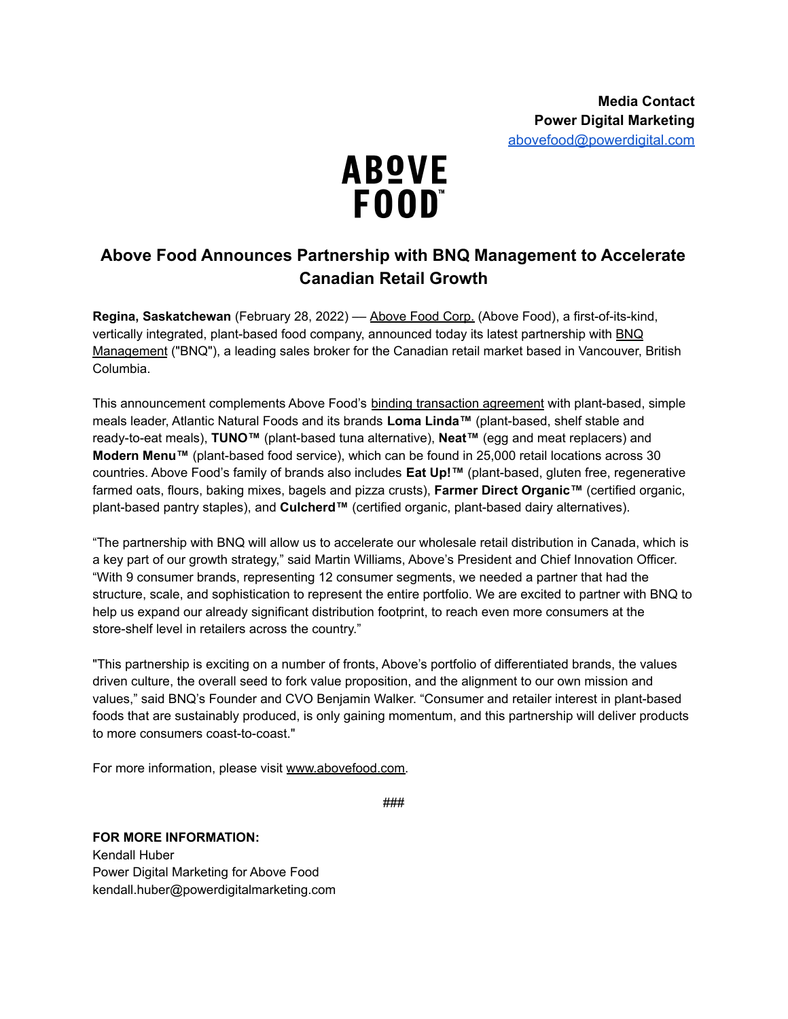

# **Above Food Announces Partnership with BNQ Management to Accelerate Canadian Retail Growth**

**Regina, Saskatchewan** (February 28, 2022) –– [Above](https://abovefood.ca/) Food Corp. (Above Food), a first-of-its-kind, vertically integrated, plant-based food company, announced today its latest partnership with [BNQ](https://bnqmanagement.com/) [Management](https://bnqmanagement.com/) ("BNQ"), a leading sales broker for the Canadian retail market based in Vancouver, British Columbia.

This announcement complements Above Food's binding [transaction](https://www.prnewswire.com/news-releases/above-food-and-atlantic-natural-foods-partner-to-create-a-global-leader-in-sustainable-affordable-plant-protein-foods-301406987.html) agreement with plant-based, simple meals leader, Atlantic Natural Foods and its brands **Loma Linda™** (plant-based, shelf stable and ready-to-eat meals), **TUNO™** (plant-based tuna alternative), **Neat™** (egg and meat replacers) and **Modern Menu™** (plant-based food service), which can be found in 25,000 retail locations across 30 countries. Above Food's family of brands also includes **Eat Up!™** (plant-based, gluten free, regenerative farmed oats, flours, baking mixes, bagels and pizza crusts), **Farmer Direct Organic™** (certified organic, plant-based pantry staples), and **Culcherd™** (certified organic, plant-based dairy alternatives).

"The partnership with BNQ will allow us to accelerate our wholesale retail distribution in Canada, which is a key part of our growth strategy," said Martin Williams, Above's President and Chief Innovation Officer. "With 9 consumer brands, representing 12 consumer segments, we needed a partner that had the structure, scale, and sophistication to represent the entire portfolio. We are excited to partner with BNQ to help us expand our already significant distribution footprint, to reach even more consumers at the store-shelf level in retailers across the country."

"This partnership is exciting on a number of fronts, Above's portfolio of differentiated brands, the values driven culture, the overall seed to fork value proposition, and the alignment to our own mission and values," said BNQ's Founder and CVO Benjamin Walker. "Consumer and retailer interest in plant-based foods that are sustainably produced, is only gaining momentum, and this partnership will deliver products to more consumers coast-to-coast."

For more information, please visit [www.abovefood.com.](http://www.abovefood.com/)

###

## **FOR MORE INFORMATION:** Kendall Huber Power Digital Marketing for Above Food

kendall.huber@powerdigitalmarketing.com